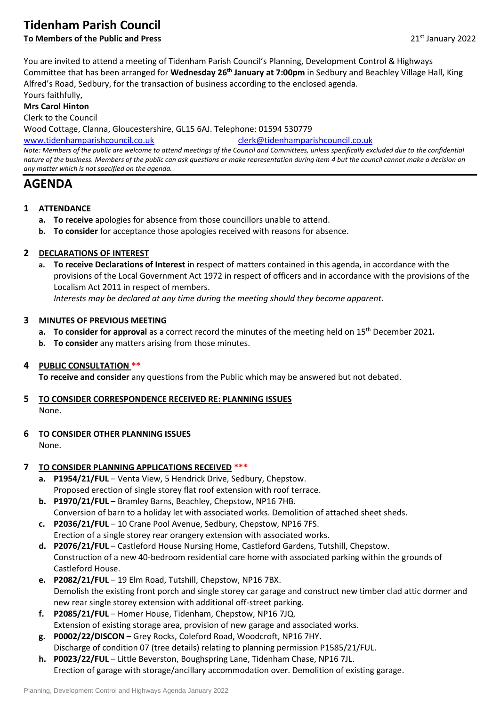# **Tidenham Parish Council**

# **To Members of the Public and Press** 2022 **21st January 2022**

You are invited to attend a meeting of Tidenham Parish Council's Planning, Development Control & Highways Committee that has been arranged for **Wednesday 26th January at 7:00pm** in Sedbury and Beachley Village Hall, King Alfred's Road, Sedbury, for the transaction of business according to the enclosed agenda.

Yours faithfully,

**Mrs Carol Hinton**

Clerk to the Council

Wood Cottage, Clanna, Gloucestershire, GL15 6AJ. Telephone: 01594 530779

[www.tidenhamparishcouncil.co.uk](http://www.tidenhamparishcouncil.co.uk/) [clerk@tidenhamparishcouncil.co.uk](mailto:clerk@tidenhamparishcouncil.co.uk)

*Note: Members of the public are welcome to attend meetings of the Council and Committees, unless specifically excluded due to the confidential nature of the business. Members of the public can ask questions or make representation during item 4 but the council cannot make a decision on any matter which is not specified on the agenda.*

## **AGENDA**

- **1 ATTENDANCE**
	- **a. To receive** apologies for absence from those councillors unable to attend.
	- **b. To consider** for acceptance those apologies received with reasons for absence.

#### **2 DECLARATIONS OF INTEREST**

**a. To receive Declarations of Interest** in respect of matters contained in this agenda, in accordance with the provisions of the Local Government Act 1972 in respect of officers and in accordance with the provisions of the Localism Act 2011 in respect of members.

*Interests may be declared at any time during the meeting should they become apparent.*

#### **3 MINUTES OF PREVIOUS MEETING**

- **a. To consider for approval** as a correct record the minutes of the meeting held on 15th December 2021*.*
- **b. To consider** any matters arising from those minutes.

#### **4 PUBLIC CONSULTATION \*\***

**To receive and consider** any questions from the Public which may be answered but not debated.

- **5 TO CONSIDER CORRESPONDENCE RECEIVED RE: PLANNING ISSUES** None.
- **6 TO CONSIDER OTHER PLANNING ISSUES**

None.

#### **7 TO CONSIDER PLANNING APPLICATIONS RECEIVED \*\*\***

- **a. P1954/21/FUL**  Venta View, 5 Hendrick Drive, Sedbury, Chepstow. Proposed erection of single storey flat roof extension with roof terrace.
- **b. P1970/21/FUL** Bramley Barns, Beachley, Chepstow, NP16 7HB. Conversion of barn to a holiday let with associated works. Demolition of attached sheet sheds.
- **c. P2036/21/FUL** 10 Crane Pool Avenue, Sedbury, Chepstow, NP16 7FS. Erection of a single storey rear orangery extension with associated works.
- **d. P2076/21/FUL** Castleford House Nursing Home, Castleford Gardens, Tutshill, Chepstow. Construction of a new 40-bedroom residential care home with associated parking within the grounds of Castleford House.
- **e. P2082/21/FUL** 19 Elm Road, Tutshill, Chepstow, NP16 7BX. Demolish the existing front porch and single storey car garage and construct new timber clad attic dormer and new rear single storey extension with additional off-street parking.
- **f. P2085/21/FUL** Homer House, Tidenham, Chepstow, NP16 7JQ. Extension of existing storage area, provision of new garage and associated works.
- **g. P0002/22/DISCON** Grey Rocks, Coleford Road, Woodcroft, NP16 7HY. Discharge of condition 07 (tree details) relating to planning permission P1585/21/FUL.
- **h. P0023/22/FUL** Little Beverston, Boughspring Lane, Tidenham Chase, NP16 7JL. Erection of garage with storage/ancillary accommodation over. Demolition of existing garage.